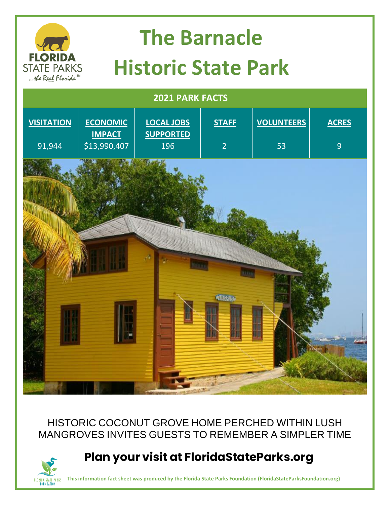

#### HISTORIC COCONUT GROVE HOME PERCHED WITHIN LUSH MANGROVES INVITES GUESTS TO REMEMBER A SIMPLER TIME

#### **Plan your visit at FloridaStateParks.org**

**This information fact sheet was produced by the Florida State Parks Foundation (FloridaStateParksFoundation.org)**

FLORIDA STATE PARKS<br>Foundation